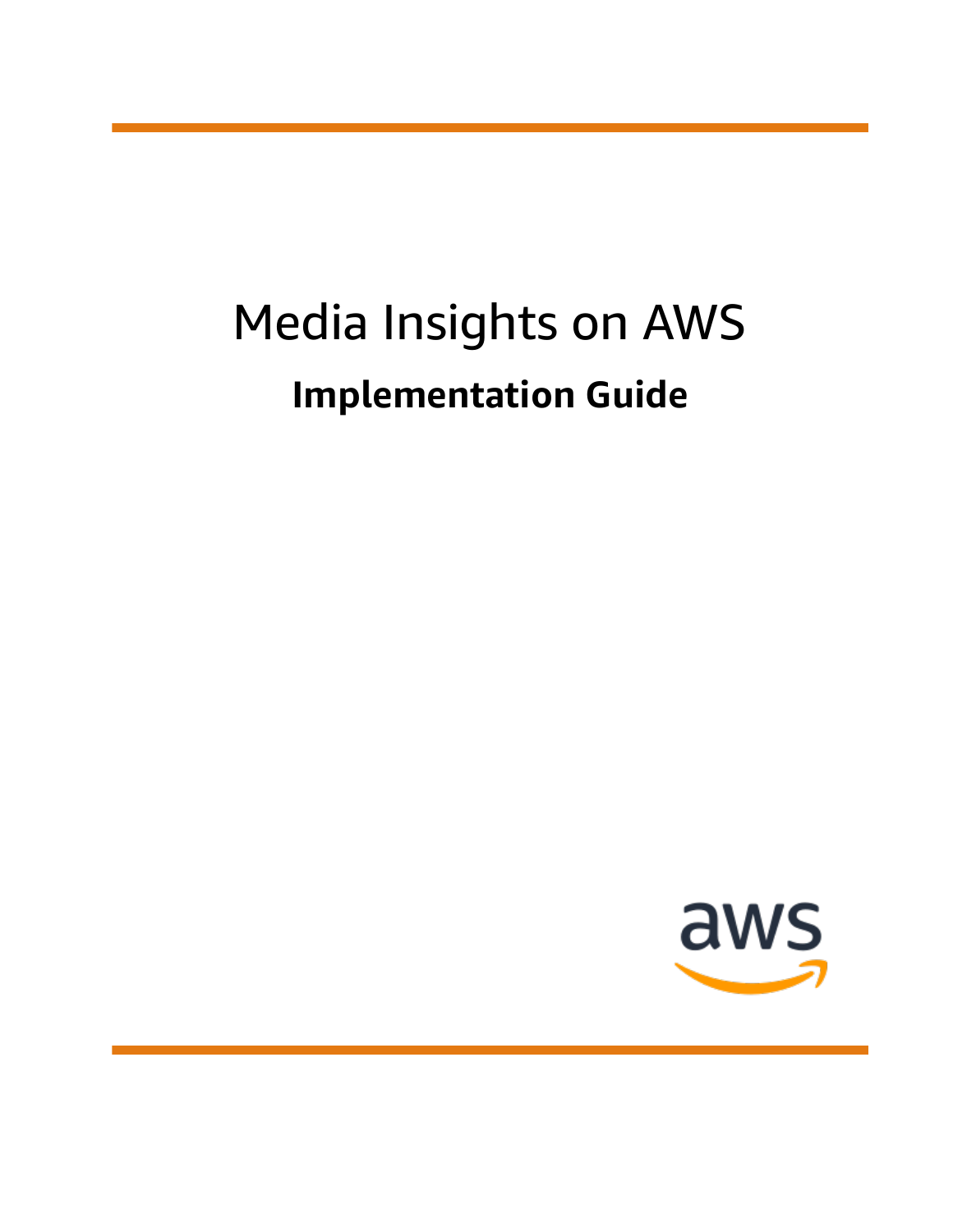# Media Insights on AWS **Implementation Guide**

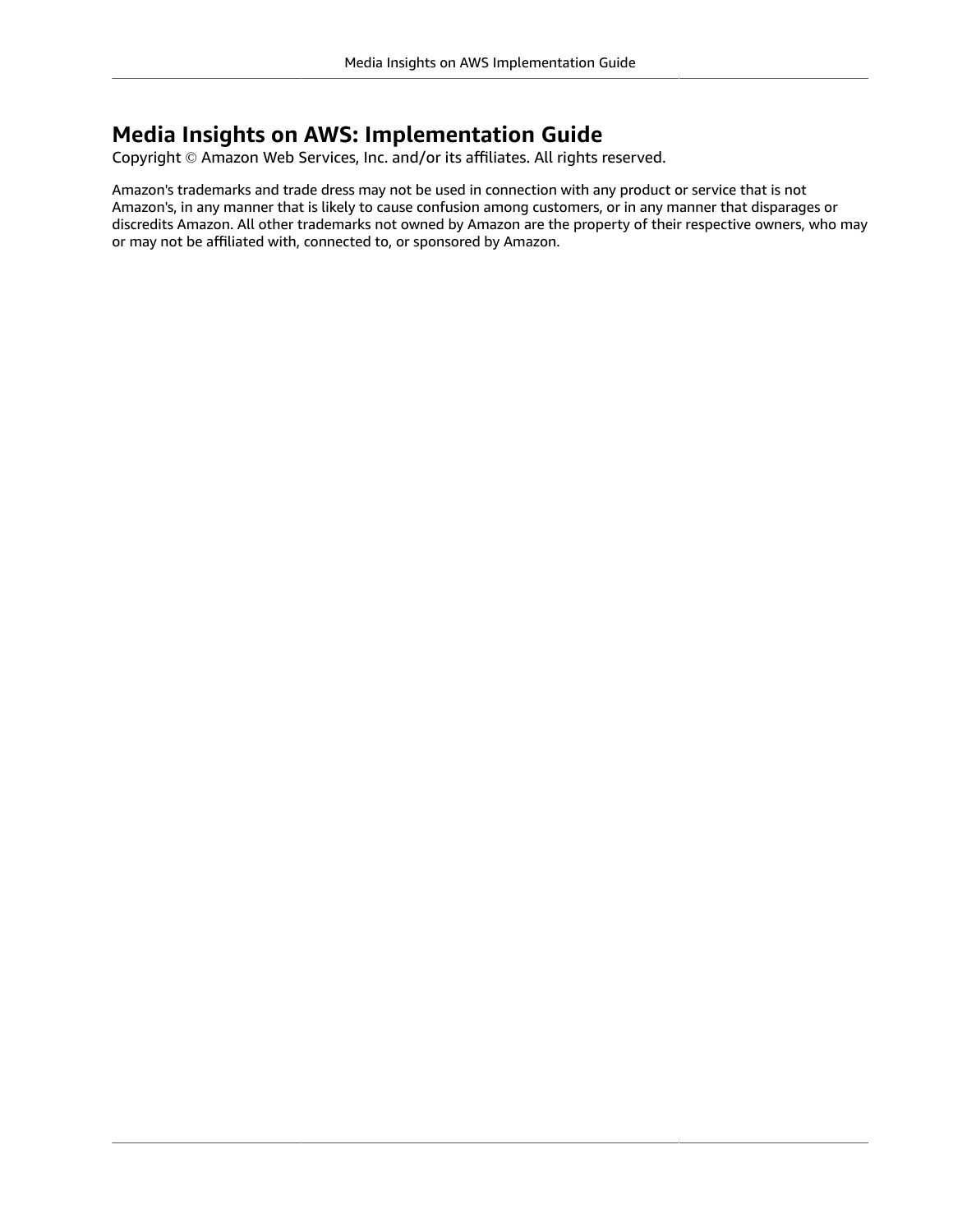#### **Media Insights on AWS: Implementation Guide**

Copyright © Amazon Web Services, Inc. and/or its affiliates. All rights reserved.

Amazon's trademarks and trade dress may not be used in connection with any product or service that is not Amazon's, in any manner that is likely to cause confusion among customers, or in any manner that disparages or discredits Amazon. All other trademarks not owned by Amazon are the property of their respective owners, who may or may not be affiliated with, connected to, or sponsored by Amazon.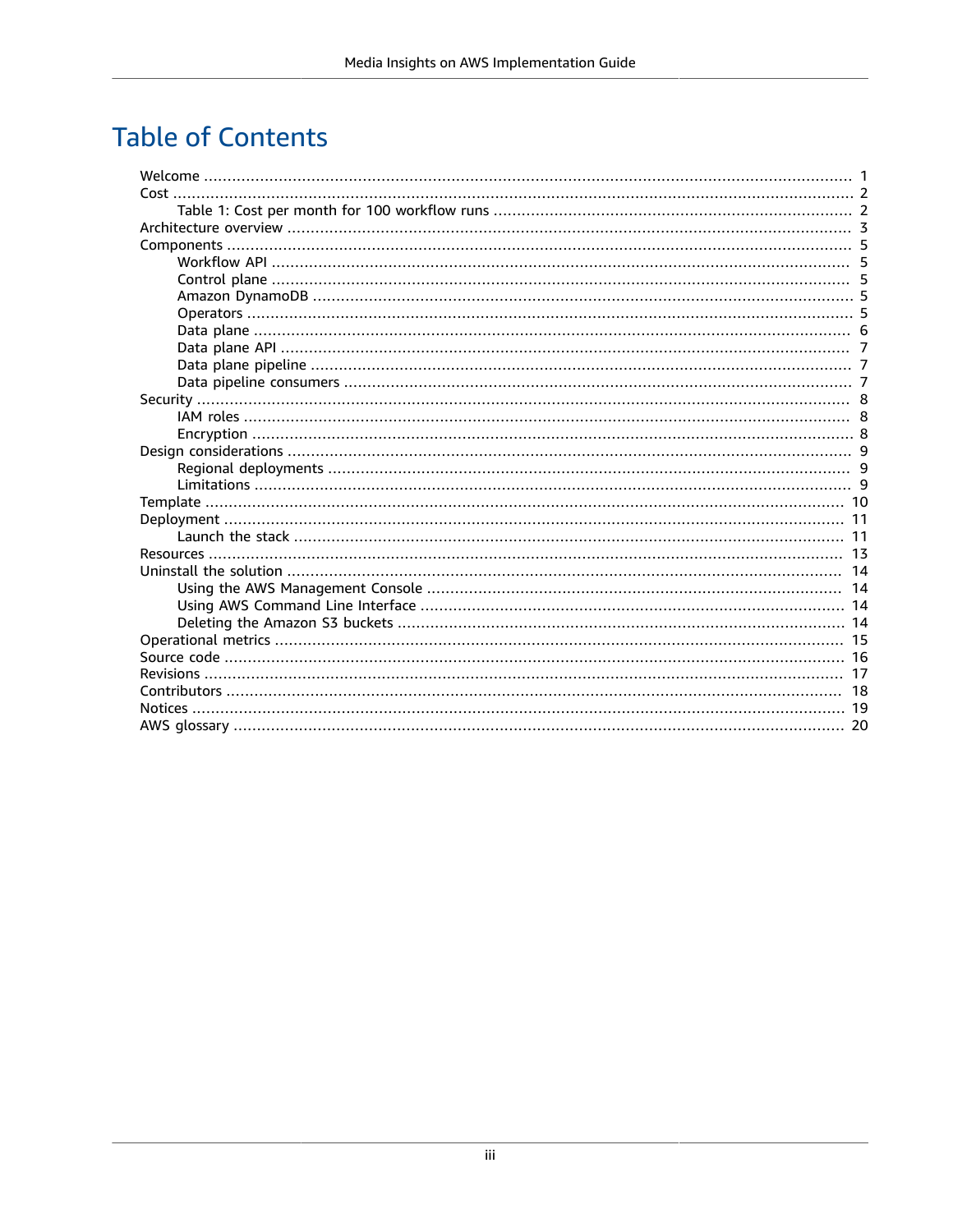### **Table of Contents**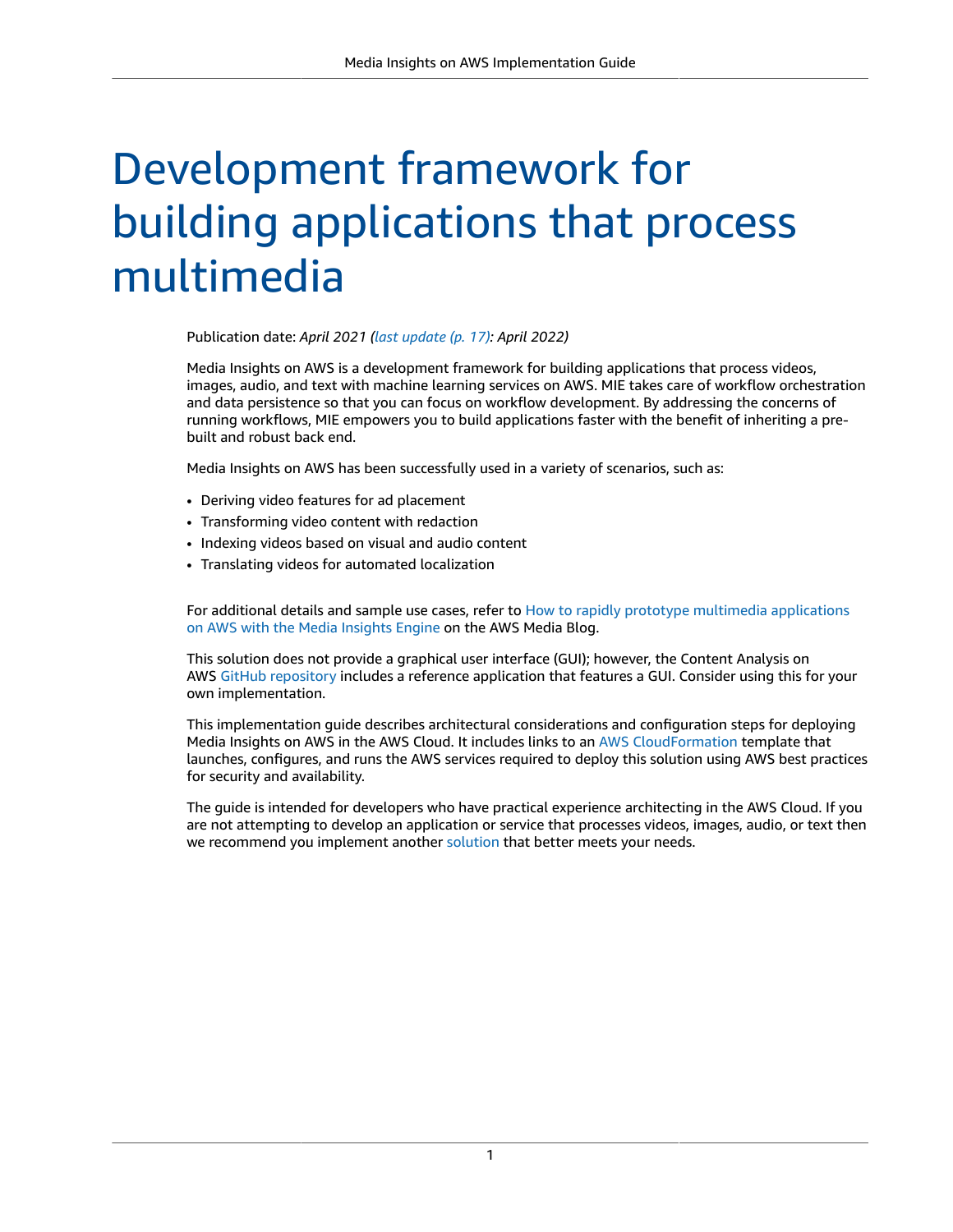# <span id="page-3-0"></span>Development framework for building applications that process multimedia

Publication date: *April 2021 ([last update](#page-19-0) (p. [17\)](#page-19-0): April 2022)*

Media Insights on AWS is a development framework for building applications that process videos, images, audio, and text with machine learning services on AWS. MIE takes care of workflow orchestration and data persistence so that you can focus on workflow development. By addressing the concerns of running workflows, MIE empowers you to build applications faster with the benefit of inheriting a prebuilt and robust back end.

Media Insights on AWS has been successfully used in a variety of scenarios, such as:

- Deriving video features for ad placement
- Transforming video content with redaction
- Indexing videos based on visual and audio content
- Translating videos for automated localization

For additional details and sample use cases, refer to How to rapidly prototype multimedia [applications](http://aws.amazon.com/blogs/media/how-to-rapidly-prototype-multimedia-applications-on-aws-with-the-media-insights-engine/) on AWS with the Media [Insights](http://aws.amazon.com/blogs/media/how-to-rapidly-prototype-multimedia-applications-on-aws-with-the-media-insights-engine/) Engine on the AWS Media Blog.

This solution does not provide a graphical user interface (GUI); however, the Content Analysis on AWS GitHub [repository](https://github.com/aws-solutions/content-analysis-on-aws) includes a reference application that features a GUI. Consider using this for your own implementation.

This implementation guide describes architectural considerations and configuration steps for deploying Media Insights on AWS in the AWS Cloud. It includes links to an AWS [CloudFormation](https://aws.amazon.com/cloudformation/) template that launches, configures, and runs the AWS services required to deploy this solution using AWS best practices for security and availability.

The guide is intended for developers who have practical experience architecting in the AWS Cloud. If you are not attempting to develop an application or service that processes videos, images, audio, or text then we recommend you implement another [solution](https://aws.amazon.com/solutions/) that better meets your needs.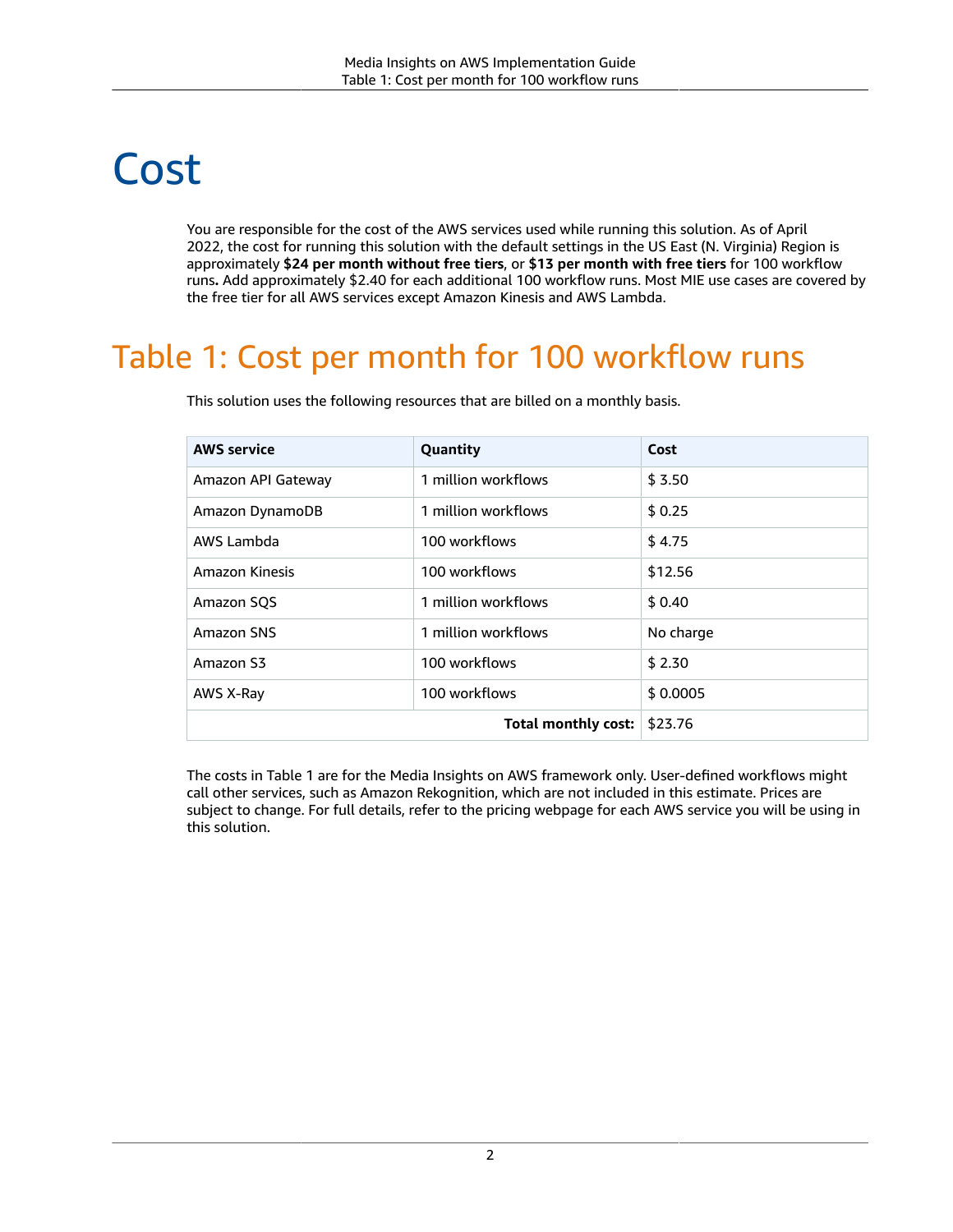## <span id="page-4-0"></span>Cost

You are responsible for the cost of the AWS services used while running this solution. As of April 2022, the cost for running this solution with the default settings in the US East (N. Virginia) Region is approximately **\$24 per month without free tiers**, or **\$13 per month with free tiers** for 100 workflow runs**.** Add approximately \$2.40 for each additional 100 workflow runs. Most MIE use cases are covered by the free tier for all AWS services except Amazon Kinesis and AWS Lambda.

## <span id="page-4-1"></span>Table 1: Cost per month for 100 workflow runs

| <b>AWS service</b> | Quantity                   | Cost      |
|--------------------|----------------------------|-----------|
| Amazon API Gateway | 1 million workflows        | \$3.50    |
| Amazon DynamoDB    | 1 million workflows        | \$0.25    |
| AWS Lambda         | 100 workflows              | \$4.75    |
| Amazon Kinesis     | 100 workflows              | \$12.56   |
| Amazon SQS         | 1 million workflows        | \$0.40    |
| Amazon SNS         | 1 million workflows        | No charge |
| Amazon S3          | 100 workflows              | \$2.30    |
| AWS X-Ray          | 100 workflows              | \$0.0005  |
|                    | <b>Total monthly cost:</b> | \$23.76   |

This solution uses the following resources that are billed on a monthly basis.

The costs in Table 1 are for the Media Insights on AWS framework only. User-defined workflows might call other services, such as Amazon Rekognition, which are not included in this estimate. Prices are subject to change. For full details, refer to the pricing webpage for each AWS service you will be using in this solution.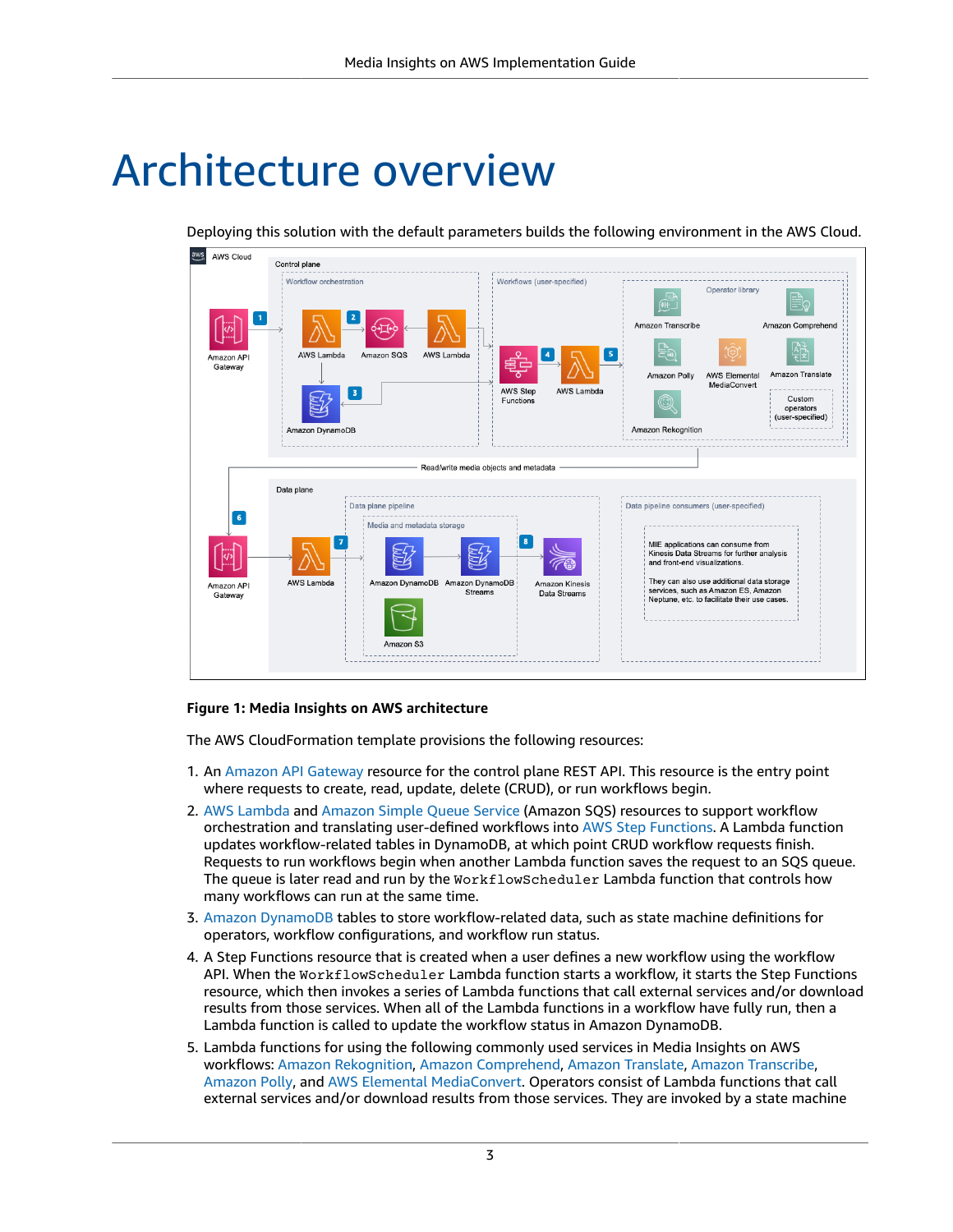## <span id="page-5-0"></span>Architecture overview

Deploying this solution with the default parameters builds the following environment in the AWS Cloud.



#### **Figure 1: Media Insights on AWS architecture**

The AWS CloudFormation template provisions the following resources:

- 1. An Amazon API [Gateway](http://aws.amazon.com/api-gateway/) resource for the control plane REST API. This resource is the entry point where requests to create, read, update, delete (CRUD), or run workflows begin.
- 2. AWS [Lambda](http://aws.amazon.com/lambda/) and [Amazon](http://aws.amazon.com/sqs/) Simple Queue Service (Amazon SQS) resources to support workflow orchestration and translating user-defined workflows into AWS Step [Functions](http://aws.amazon.com/step-functions/). A Lambda function updates workflow-related tables in DynamoDB, at which point CRUD workflow requests finish. Requests to run workflows begin when another Lambda function saves the request to an SQS queue. The queue is later read and run by the WorkflowScheduler Lambda function that controls how many workflows can run at the same time.
- 3. Amazon [DynamoDB](http://aws.amazon.com/dynamodb/) tables to store workflow-related data, such as state machine definitions for operators, workflow configurations, and workflow run status.
- 4. A Step Functions resource that is created when a user defines a new workflow using the workflow API. When the WorkflowScheduler Lambda function starts a workflow, it starts the Step Functions resource, which then invokes a series of Lambda functions that call external services and/or download results from those services. When all of the Lambda functions in a workflow have fully run, then a Lambda function is called to update the workflow status in Amazon DynamoDB.
- 5. Lambda functions for using the following commonly used services in Media Insights on AWS workflows: Amazon [Rekognition](http://aws.amazon.com/rekognition/), Amazon [Comprehend](http://aws.amazon.com/comprehend/), Amazon [Translate,](http://aws.amazon.com/translate/) Amazon [Transcribe](http://aws.amazon.com/transcribe/), [Amazon](http://aws.amazon.com/polly/) Polly, and AWS Elemental [MediaConvert](http://aws.amazon.com/mediaconvert/). Operators consist of Lambda functions that call external services and/or download results from those services. They are invoked by a state machine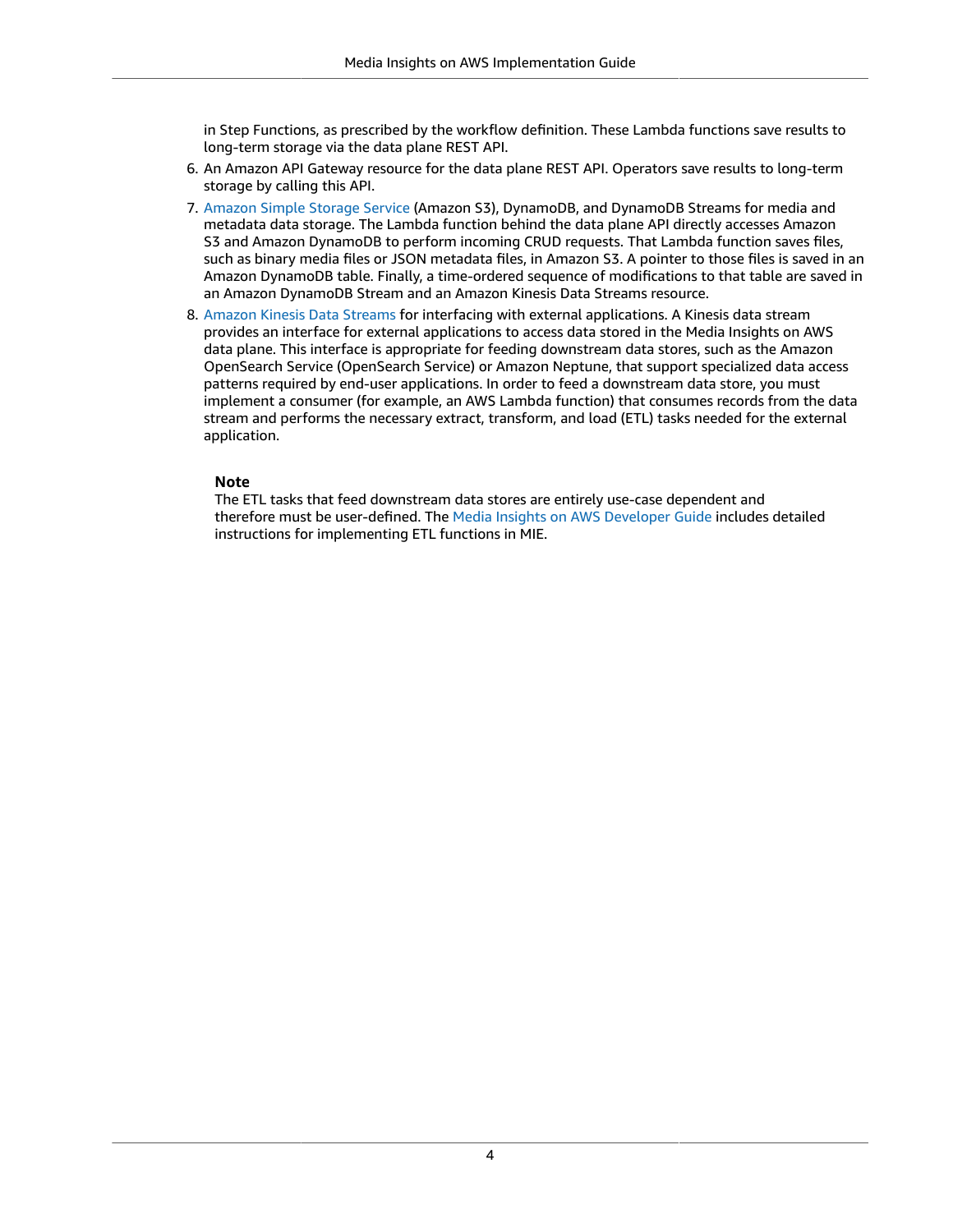in Step Functions, as prescribed by the workflow definition. These Lambda functions save results to long-term storage via the data plane REST API.

- 6. An Amazon API Gateway resource for the data plane REST API. Operators save results to long-term storage by calling this API.
- 7. [Amazon](http://aws.amazon.com/s3/) Simple Storage Service (Amazon S3), DynamoDB, and DynamoDB Streams for media and metadata data storage. The Lambda function behind the data plane API directly accesses Amazon S3 and Amazon DynamoDB to perform incoming CRUD requests. That Lambda function saves files, such as binary media files or JSON metadata files, in Amazon S3. A pointer to those files is saved in an Amazon DynamoDB table. Finally, a time-ordered sequence of modifications to that table are saved in an Amazon DynamoDB Stream and an Amazon Kinesis Data Streams resource.
- 8. [Amazon](http://aws.amazon.com/kinesis/data-streams/) Kinesis Data Streams for interfacing with external applications. A Kinesis data stream provides an interface for external applications to access data stored in the Media Insights on AWS data plane. This interface is appropriate for feeding downstream data stores, such as the Amazon OpenSearch Service (OpenSearch Service) or Amazon Neptune, that support specialized data access patterns required by end-user applications. In order to feed a downstream data store, you must implement a consumer (for example, an AWS Lambda function) that consumes records from the data stream and performs the necessary extract, transform, and load (ETL) tasks needed for the external application.

#### **Note**

The ETL tasks that feed downstream data stores are entirely use-case dependent and therefore must be user-defined. The Media Insights on AWS [Developer](https://s3.amazonaws.com/solutions-reference/aws-media-insights-engine/latest/aws-media-insights-engine-developer-guide.pdf) Guide includes detailed instructions for implementing ETL functions in MIE.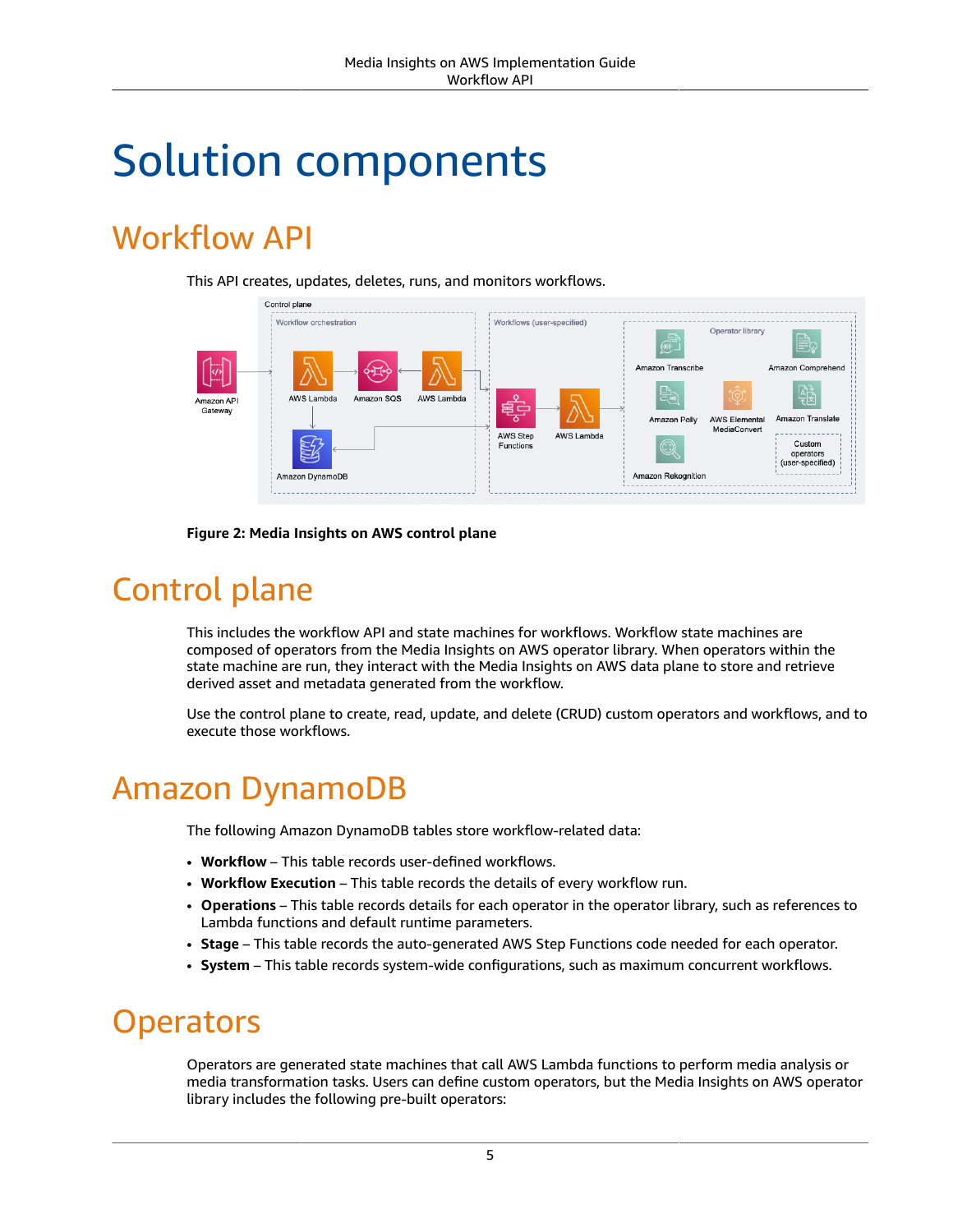# <span id="page-7-0"></span>Solution components

## <span id="page-7-1"></span>Workflow API

This API creates, updates, deletes, runs, and monitors workflows.



#### **Figure 2: Media Insights on AWS control plane**

## <span id="page-7-2"></span>Control plane

This includes the workflow API and state machines for workflows. Workflow state machines are composed of operators from the Media Insights on AWS operator library. When operators within the state machine are run, they interact with the Media Insights on AWS data plane to store and retrieve derived asset and metadata generated from the workflow.

Use the control plane to create, read, update, and delete (CRUD) custom operators and workflows, and to execute those workflows.

### <span id="page-7-3"></span>Amazon DynamoDB

The following Amazon DynamoDB tables store workflow-related data:

- **Workflow** This table records user-defined workflows.
- **Workflow Execution** This table records the details of every workflow run.
- **Operations** This table records details for each operator in the operator library, such as references to Lambda functions and default runtime parameters.
- **Stage** This table records the auto-generated AWS Step Functions code needed for each operator.
- **System** This table records system-wide configurations, such as maximum concurrent workflows.

### <span id="page-7-4"></span>**Operators**

Operators are generated state machines that call AWS Lambda functions to perform media analysis or media transformation tasks. Users can define custom operators, but the Media Insights on AWS operator library includes the following pre-built operators: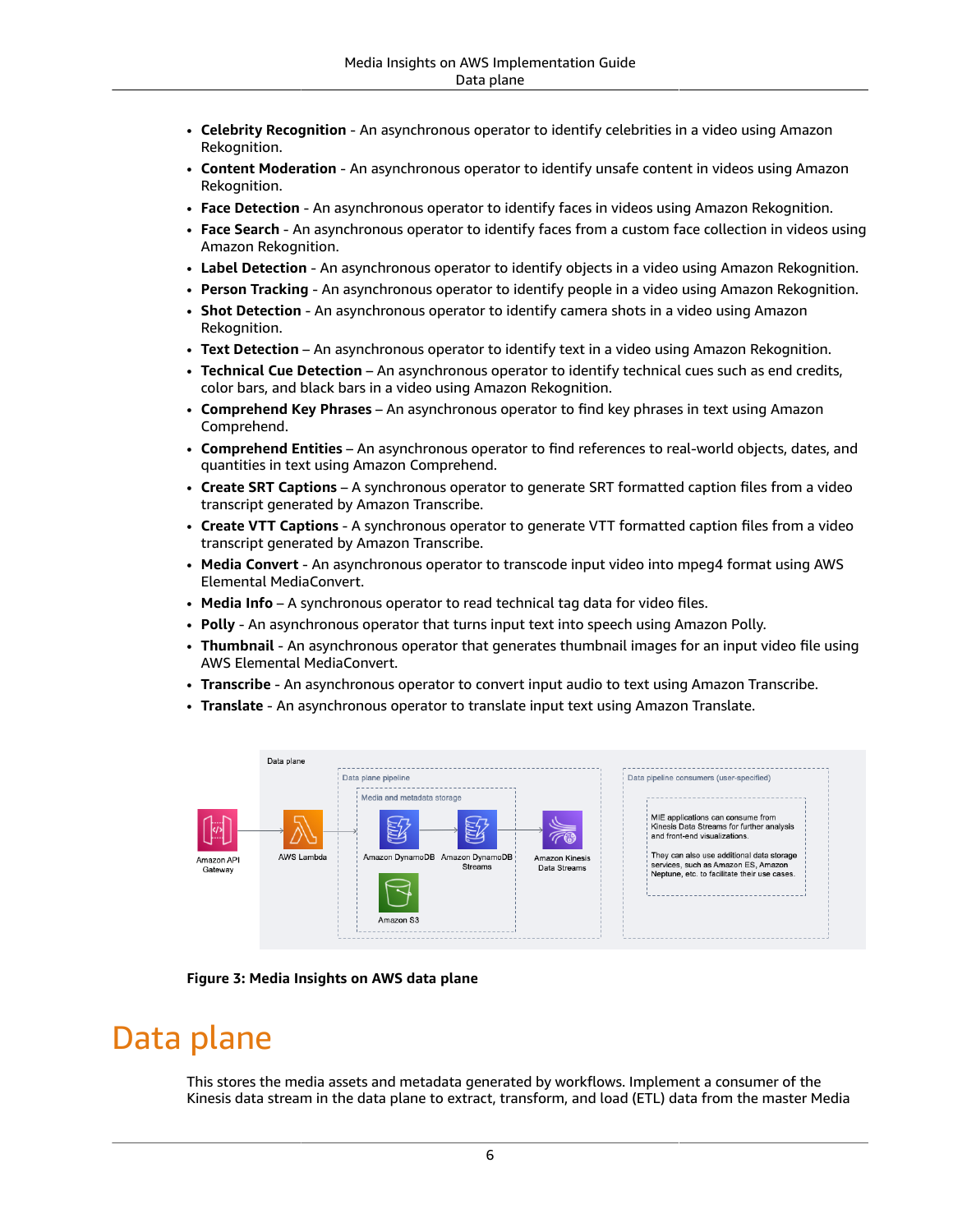- **Celebrity Recognition** An asynchronous operator to identify celebrities in a video using Amazon Rekognition.
- **Content Moderation** An asynchronous operator to identify unsafe content in videos using Amazon Rekognition.
- **Face Detection** An asynchronous operator to identify faces in videos using Amazon Rekognition.
- **Face Search** An asynchronous operator to identify faces from a custom face collection in videos using Amazon Rekognition.
- **Label Detection** An asynchronous operator to identify objects in a video using Amazon Rekognition.
- **Person Tracking** An asynchronous operator to identify people in a video using Amazon Rekognition.
- **Shot Detection** An asynchronous operator to identify camera shots in a video using Amazon Rekognition.
- **Text Detection** An asynchronous operator to identify text in a video using Amazon Rekognition.
- **Technical Cue Detection** An asynchronous operator to identify technical cues such as end credits, color bars, and black bars in a video using Amazon Rekognition.
- **Comprehend Key Phrases** An asynchronous operator to find key phrases in text using Amazon Comprehend.
- **Comprehend Entities** An asynchronous operator to find references to real-world objects, dates, and quantities in text using Amazon Comprehend.
- **Create SRT Captions** A synchronous operator to generate SRT formatted caption files from a video transcript generated by Amazon Transcribe.
- **Create VTT Captions** A synchronous operator to generate VTT formatted caption files from a video transcript generated by Amazon Transcribe.
- **Media Convert** An asynchronous operator to transcode input video into mpeg4 format using AWS Elemental MediaConvert.
- **Media Info** A synchronous operator to read technical tag data for video files.
- **Polly** An asynchronous operator that turns input text into speech using Amazon Polly.
- **Thumbnail** An asynchronous operator that generates thumbnail images for an input video file using AWS Elemental MediaConvert.
- **Transcribe** An asynchronous operator to convert input audio to text using Amazon Transcribe.
- **Translate** An asynchronous operator to translate input text using Amazon Translate.



**Figure 3: Media Insights on AWS data plane**

### <span id="page-8-0"></span>Data plane

This stores the media assets and metadata generated by workflows. Implement a consumer of the Kinesis data stream in the data plane to extract, transform, and load (ETL) data from the master Media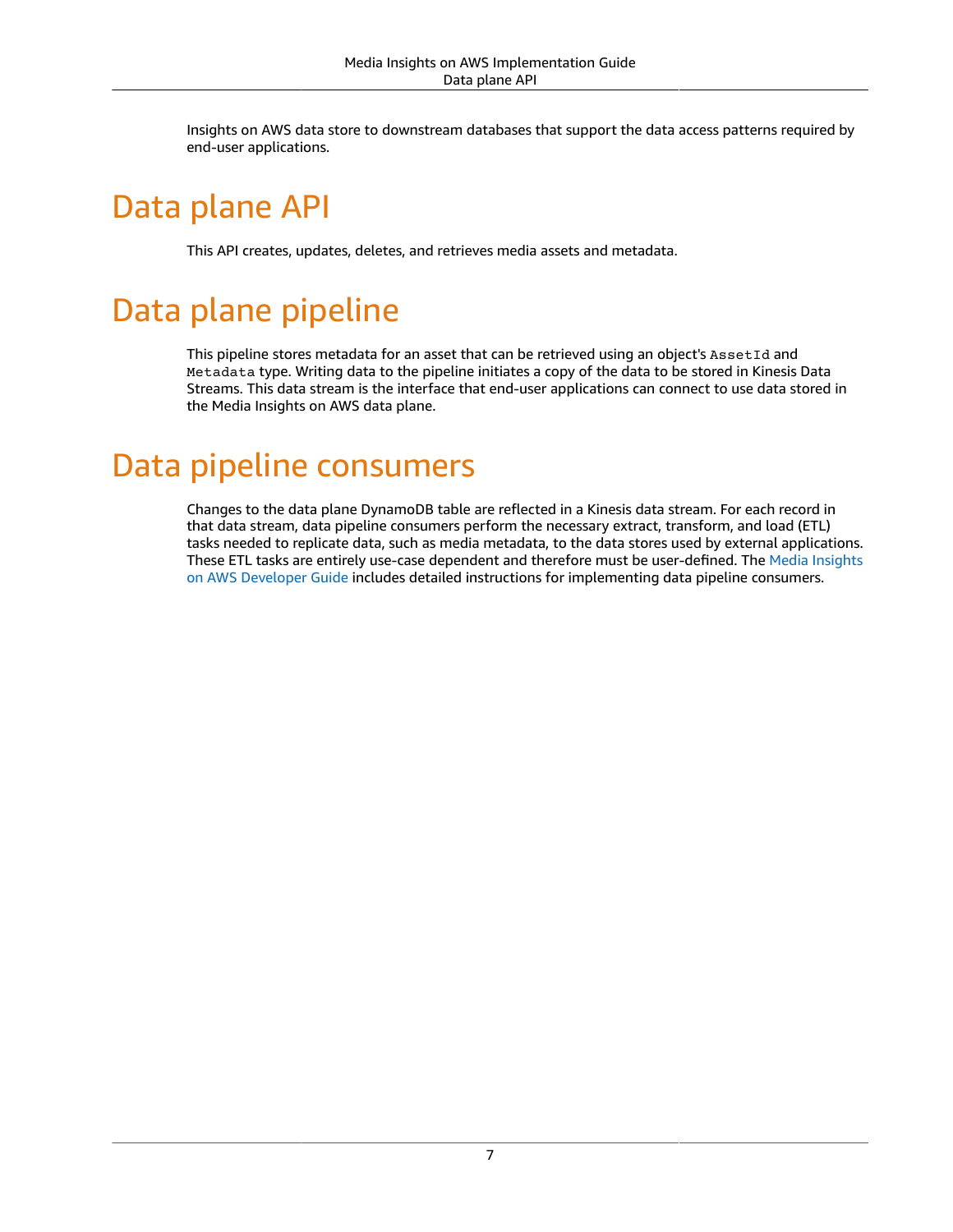Insights on AWS data store to downstream databases that support the data access patterns required by end-user applications.

## <span id="page-9-0"></span>Data plane API

This API creates, updates, deletes, and retrieves media assets and metadata.

## <span id="page-9-1"></span>Data plane pipeline

This pipeline stores metadata for an asset that can be retrieved using an object's AssetId and Metadata type. Writing data to the pipeline initiates a copy of the data to be stored in Kinesis Data Streams. This data stream is the interface that end-user applications can connect to use data stored in the Media Insights on AWS data plane.

## <span id="page-9-2"></span>Data pipeline consumers

Changes to the data plane DynamoDB table are reflected in a Kinesis data stream. For each record in that data stream, data pipeline consumers perform the necessary extract, transform, and load (ETL) tasks needed to replicate data, such as media metadata, to the data stores used by external applications. These ETL tasks are entirely use-case dependent and therefore must be user-defined. The [Media Insights](https://s3.amazonaws.com/solutions-reference/aws-media-insights-engine/latest/aws-media-insights-engine-developer-guide.pdf) on AWS [Developer](https://s3.amazonaws.com/solutions-reference/aws-media-insights-engine/latest/aws-media-insights-engine-developer-guide.pdf) Guide includes detailed instructions for implementing data pipeline consumers.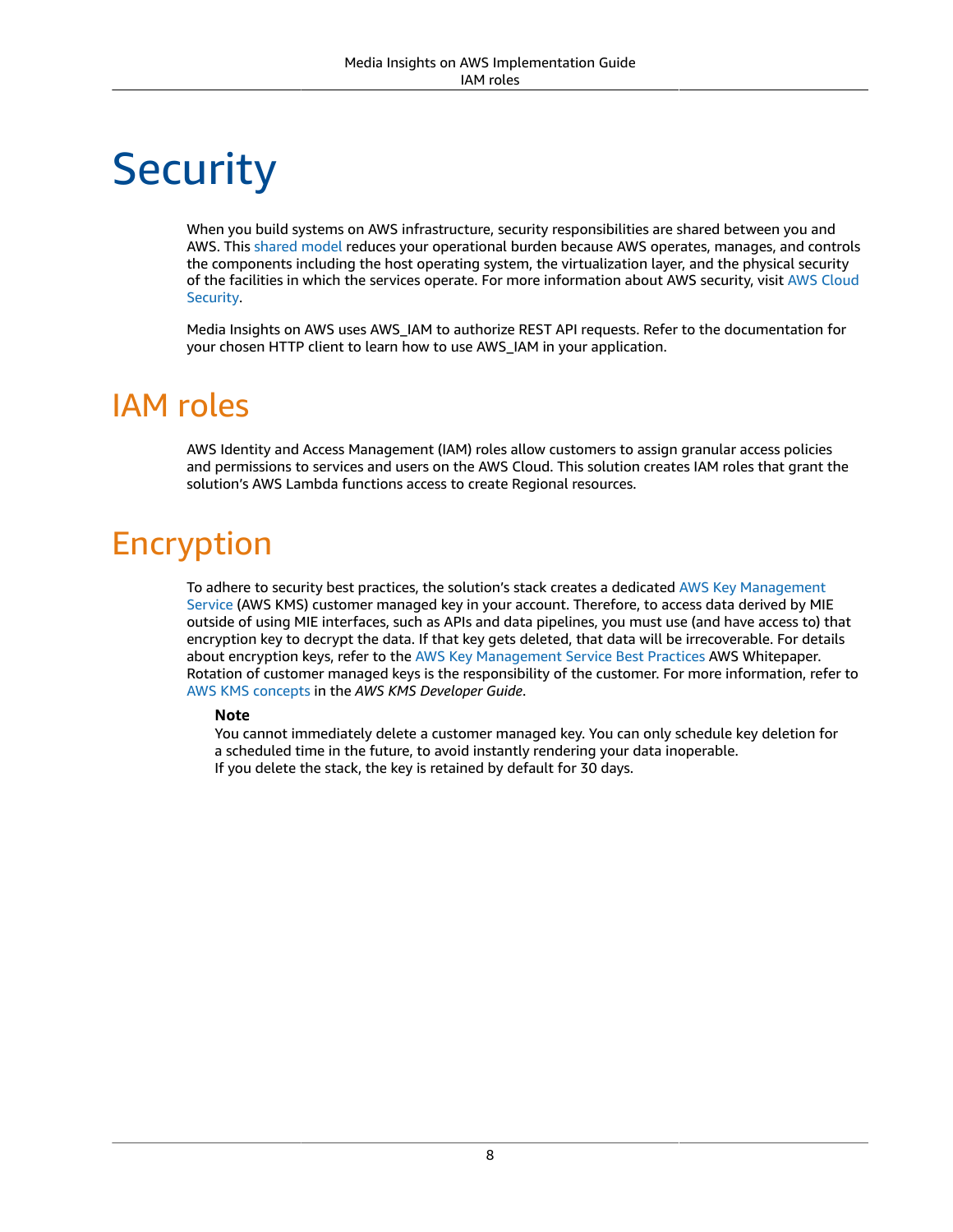# <span id="page-10-0"></span>**Security**

When you build systems on AWS infrastructure, security responsibilities are shared between you and AWS. This [shared](http://aws.amazon.com/compliance/shared-responsibility-model/) model reduces your operational burden because AWS operates, manages, and controls the components including the host operating system, the virtualization layer, and the physical security of the facilities in which the services operate. For more information about AWS security, visit AWS [Cloud](http://aws.amazon.com/security/) [Security.](http://aws.amazon.com/security/)

Media Insights on AWS uses AWS\_IAM to authorize REST API requests. Refer to the documentation for your chosen HTTP client to learn how to use AWS\_IAM in your application.

### <span id="page-10-1"></span>IAM roles

AWS Identity and Access Management (IAM) roles allow customers to assign granular access policies and permissions to services and users on the AWS Cloud. This solution creates IAM roles that grant the solution's AWS Lambda functions access to create Regional resources.

## <span id="page-10-2"></span>Encryption

To adhere to security best practices, the solution's stack creates a dedicated AWS Key [Management](http://aws.amazon.com/kms) [Service](http://aws.amazon.com/kms) (AWS KMS) customer managed key in your account. Therefore, to access data derived by MIE outside of using MIE interfaces, such as APIs and data pipelines, you must use (and have access to) that encryption key to decrypt the data. If that key gets deleted, that data will be irrecoverable. For details about encryption keys, refer to the AWS Key [Management](https://docs.aws.amazon.com/whitepapers/latest/kms-best-practices/welcome.html) Service Best Practices AWS Whitepaper. Rotation of customer managed keys is the responsibility of the customer. For more information, refer to AWS KMS [concepts](https://docs.aws.amazon.com/kms/latest/developerguide/concepts.html) in the *AWS KMS Developer Guide*.

#### **Note**

You cannot immediately delete a customer managed key. You can only schedule key deletion for a scheduled time in the future, to avoid instantly rendering your data inoperable. If you delete the stack, the key is retained by default for 30 days.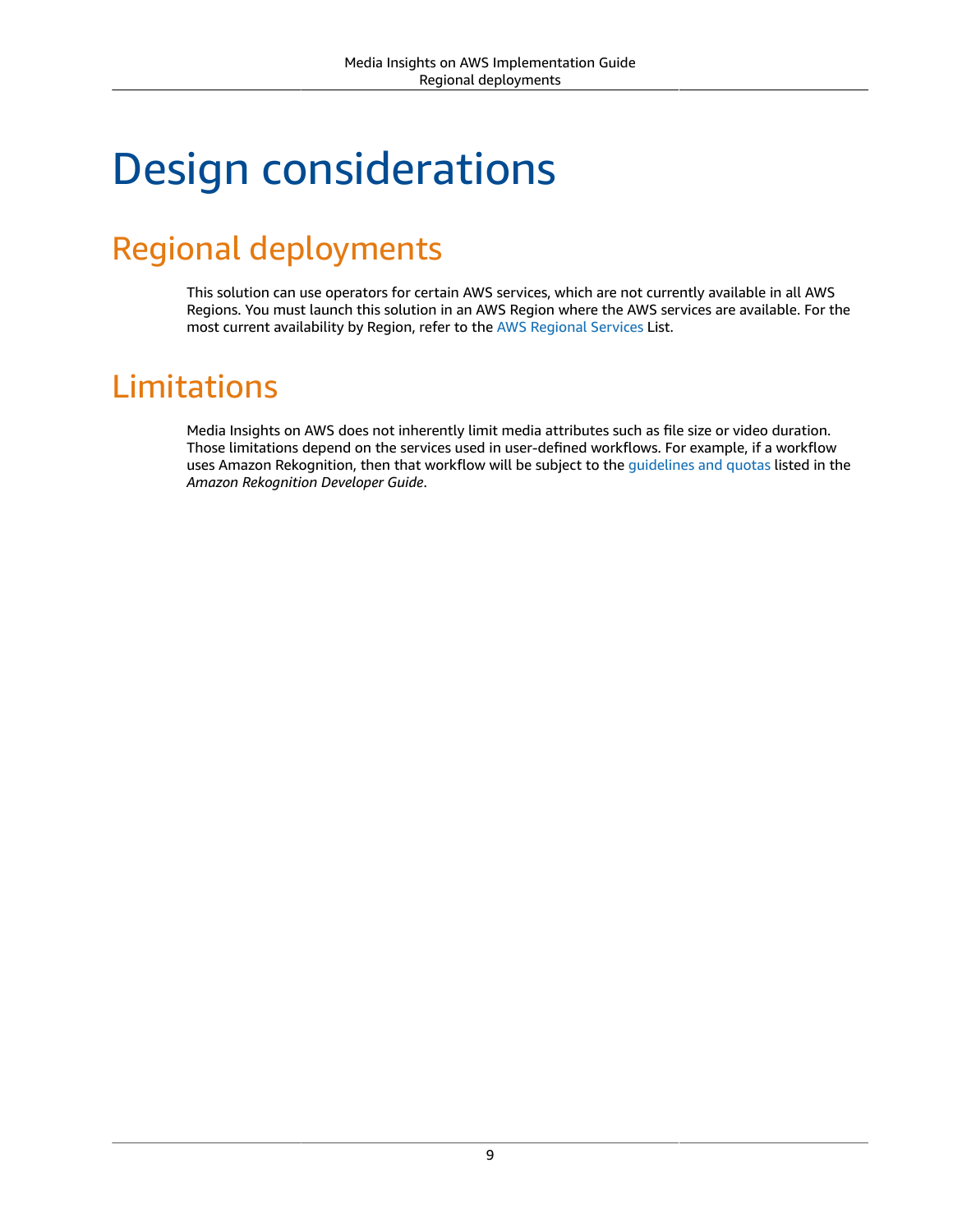# <span id="page-11-0"></span>Design considerations

## <span id="page-11-1"></span>Regional deployments

This solution can use operators for certain AWS services, which are not currently available in all AWS Regions. You must launch this solution in an AWS Region where the AWS services are available. For the most current availability by Region, refer to the AWS [Regional](http://aws.amazon.com/about-aws/global-infrastructure/regional-product-services/) Services List.

## <span id="page-11-2"></span>Limitations

Media Insights on AWS does not inherently limit media attributes such as file size or video duration. Those limitations depend on the services used in user-defined workflows. For example, if a workflow uses Amazon Rekognition, then that workflow will be subject to the [guidelines and quotas](https://docs.aws.amazon.com/rekognition/latest/dg/limits.html) listed in the *Amazon Rekognition Developer Guide*.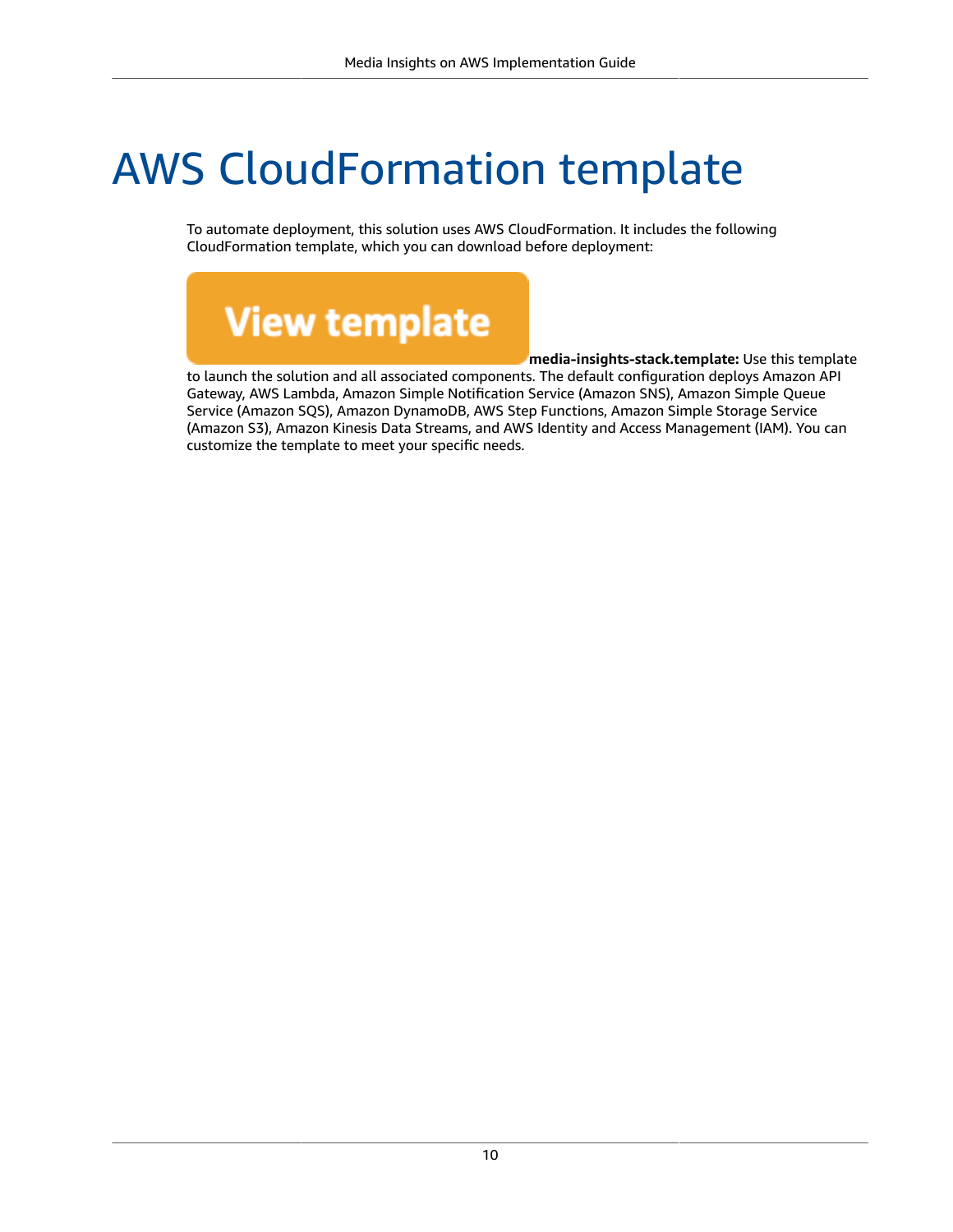# <span id="page-12-0"></span>AWS CloudFormation template

To automate deployment, this solution uses AWS CloudFormation. It includes the following CloudFormation template, which you can download before deployment:



**media-insights-stack.template:** Use this template

to launch the solution and all associated components. The default configuration deploys Amazon API Gateway, AWS Lambda, Amazon Simple Notification Service (Amazon SNS), Amazon Simple Queue Service (Amazon SQS), Amazon DynamoDB, AWS Step Functions, Amazon Simple Storage Service (Amazon S3), Amazon Kinesis Data Streams, and AWS Identity and Access Management (IAM). You can customize the template to meet your specific needs.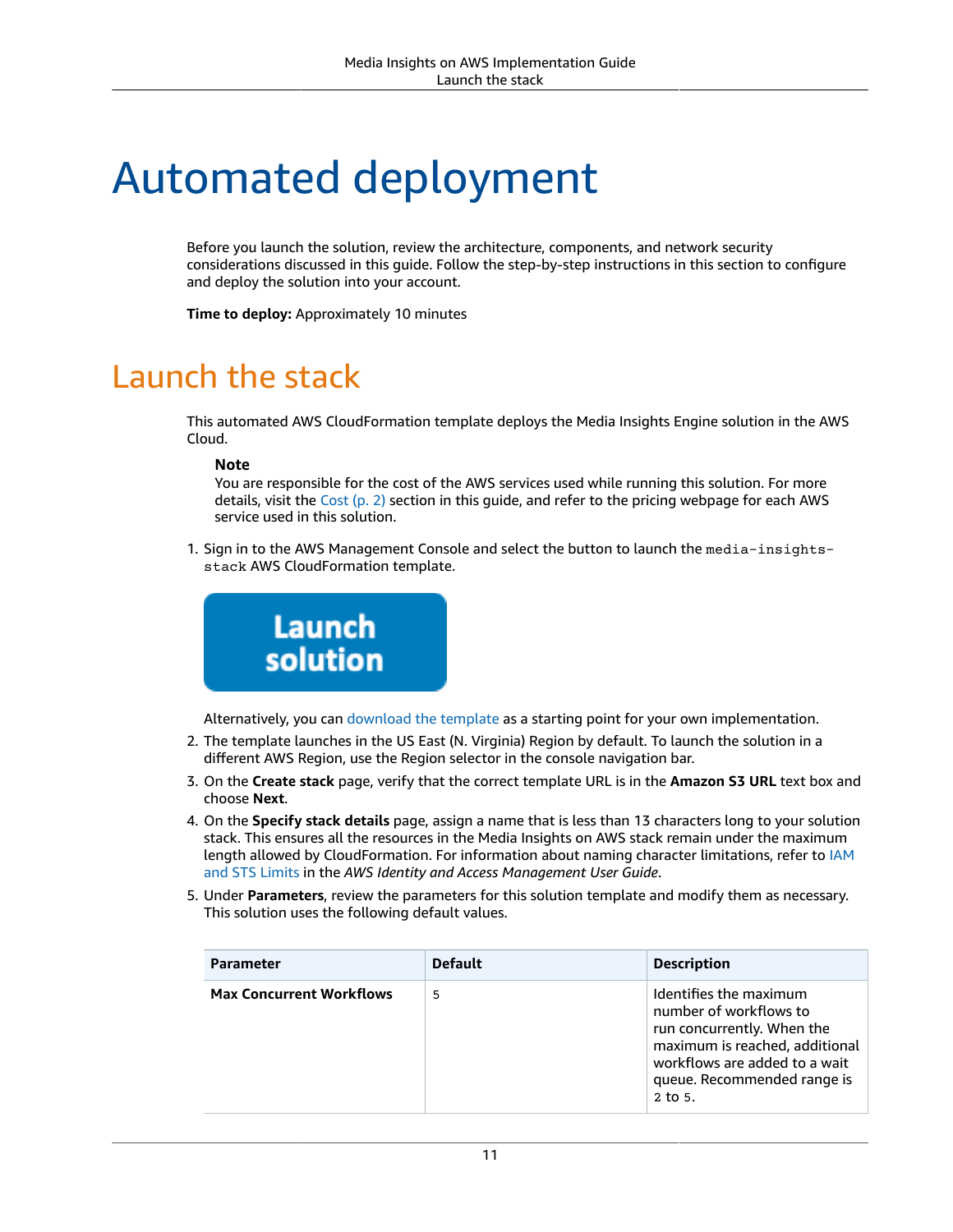## <span id="page-13-0"></span>Automated deployment

Before you launch the solution, review the architecture, components, and network security considerations discussed in this guide. Follow the step-by-step instructions in this section to configure and deploy the solution into your account.

**Time to deploy:** Approximately 10 minutes

### <span id="page-13-1"></span>Launch the stack

This automated AWS CloudFormation template deploys the Media Insights Engine solution in the AWS Cloud.

#### **Note**

You are responsible for the cost of the AWS services used while running this solution. For more details, visit the [Cost \(p. 2\)](#page-4-0) section in this guide, and refer to the pricing webpage for each AWS service used in this solution.

1. Sign in to the AWS Management Console and select the button to launch the media-insightsstack AWS CloudFormation template.



Alternatively, you can [download](https://solutions-reference.s3.amazonaws.com/aws-media-insights-engine/latest/media-insights-stack.template) the template as a starting point for your own implementation.

- 2. The template launches in the US East (N. Virginia) Region by default. To launch the solution in a different AWS Region, use the Region selector in the console navigation bar.
- 3. On the **Create stack** page, verify that the correct template URL is in the **Amazon S3 URL** text box and choose **Next**.
- 4. On the **Specify stack details** page, assign a name that is less than 13 characters long to your solution stack. This ensures all the resources in the Media Insights on AWS stack remain under the maximum length allowed by CloudFormation. For information about naming character limitations, refer to [IAM](https://docs.aws.amazon.com/IAM/latest/UserGuide/reference_iam-limits.html) [and STS Limits](https://docs.aws.amazon.com/IAM/latest/UserGuide/reference_iam-limits.html) in the *AWS Identity and Access Management User Guide*.
- 5. Under **Parameters**, review the parameters for this solution template and modify them as necessary. This solution uses the following default values.

| <b>Parameter</b>                | <b>Default</b> | <b>Description</b>                                                                                                                                                                          |
|---------------------------------|----------------|---------------------------------------------------------------------------------------------------------------------------------------------------------------------------------------------|
| <b>Max Concurrent Workflows</b> | 5              | Identifies the maximum<br>number of workflows to<br>run concurrently. When the<br>maximum is reached, additional<br>workflows are added to a wait<br>queue. Recommended range is<br>2 to 5. |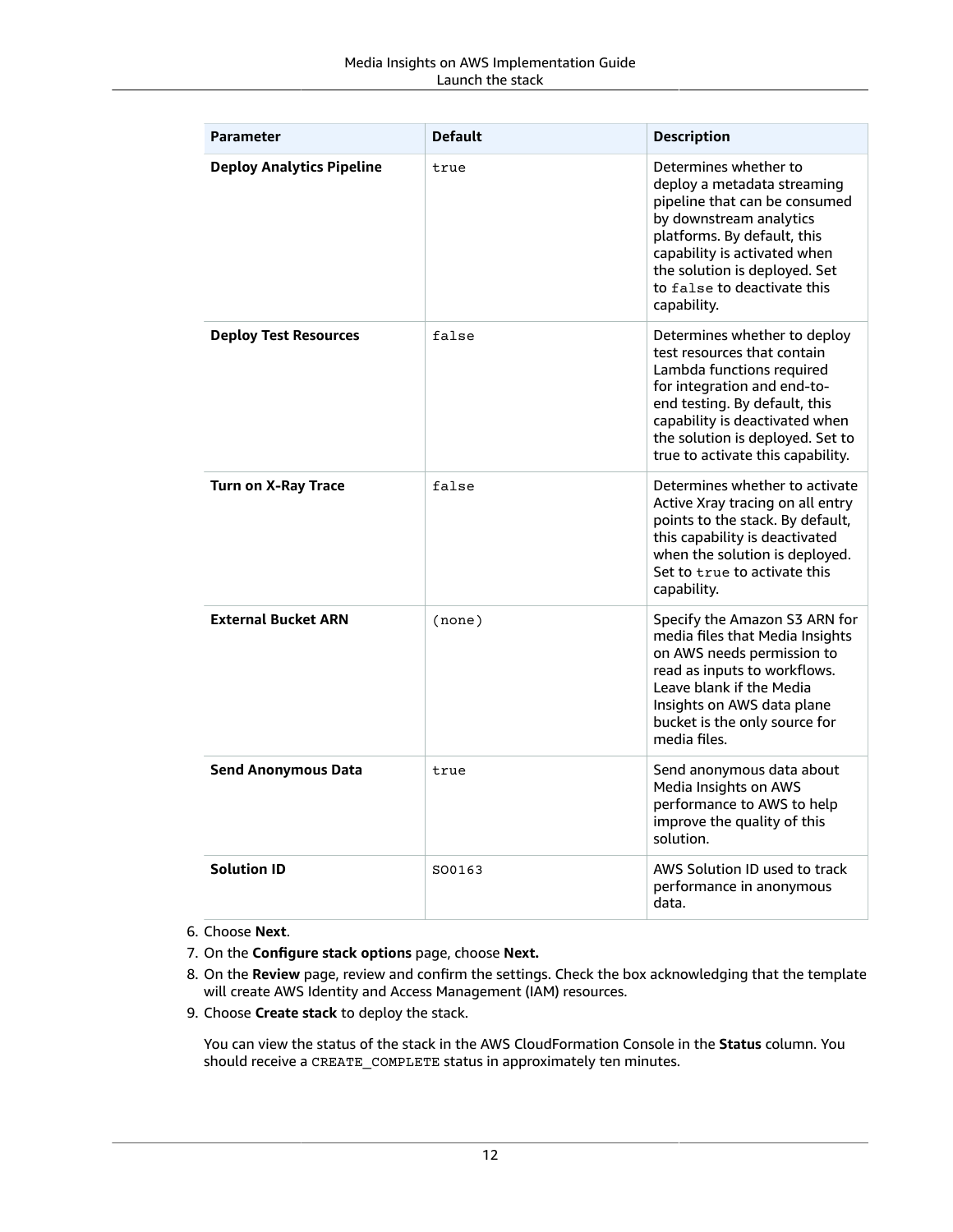| <b>Parameter</b>                 | <b>Default</b> | <b>Description</b>                                                                                                                                                                                                                                                  |
|----------------------------------|----------------|---------------------------------------------------------------------------------------------------------------------------------------------------------------------------------------------------------------------------------------------------------------------|
| <b>Deploy Analytics Pipeline</b> | true           | Determines whether to<br>deploy a metadata streaming<br>pipeline that can be consumed<br>by downstream analytics<br>platforms. By default, this<br>capability is activated when<br>the solution is deployed. Set<br>to false to deactivate this<br>capability.      |
| <b>Deploy Test Resources</b>     | false          | Determines whether to deploy<br>test resources that contain<br>Lambda functions required<br>for integration and end-to-<br>end testing. By default, this<br>capability is deactivated when<br>the solution is deployed. Set to<br>true to activate this capability. |
| <b>Turn on X-Ray Trace</b>       | false          | Determines whether to activate<br>Active Xray tracing on all entry<br>points to the stack. By default,<br>this capability is deactivated<br>when the solution is deployed.<br>Set to true to activate this<br>capability.                                           |
| <b>External Bucket ARN</b>       | (none)         | Specify the Amazon S3 ARN for<br>media files that Media Insights<br>on AWS needs permission to<br>read as inputs to workflows.<br>Leave blank if the Media<br>Insights on AWS data plane<br>bucket is the only source for<br>media files.                           |
| <b>Send Anonymous Data</b>       | true           | Send anonymous data about<br>Media Insights on AWS<br>performance to AWS to help<br>improve the quality of this<br>solution.                                                                                                                                        |
| <b>Solution ID</b>               | SO0163         | AWS Solution ID used to track<br>performance in anonymous<br>data.                                                                                                                                                                                                  |

6. Choose **Next**.

- 7. On the **Configure stack options** page, choose **Next.**
- 8. On the **Review** page, review and confirm the settings. Check the box acknowledging that the template will create AWS Identity and Access Management (IAM) resources.
- 9. Choose **Create stack** to deploy the stack.

You can view the status of the stack in the AWS CloudFormation Console in the **Status** column. You should receive a CREATE\_COMPLETE status in approximately ten minutes.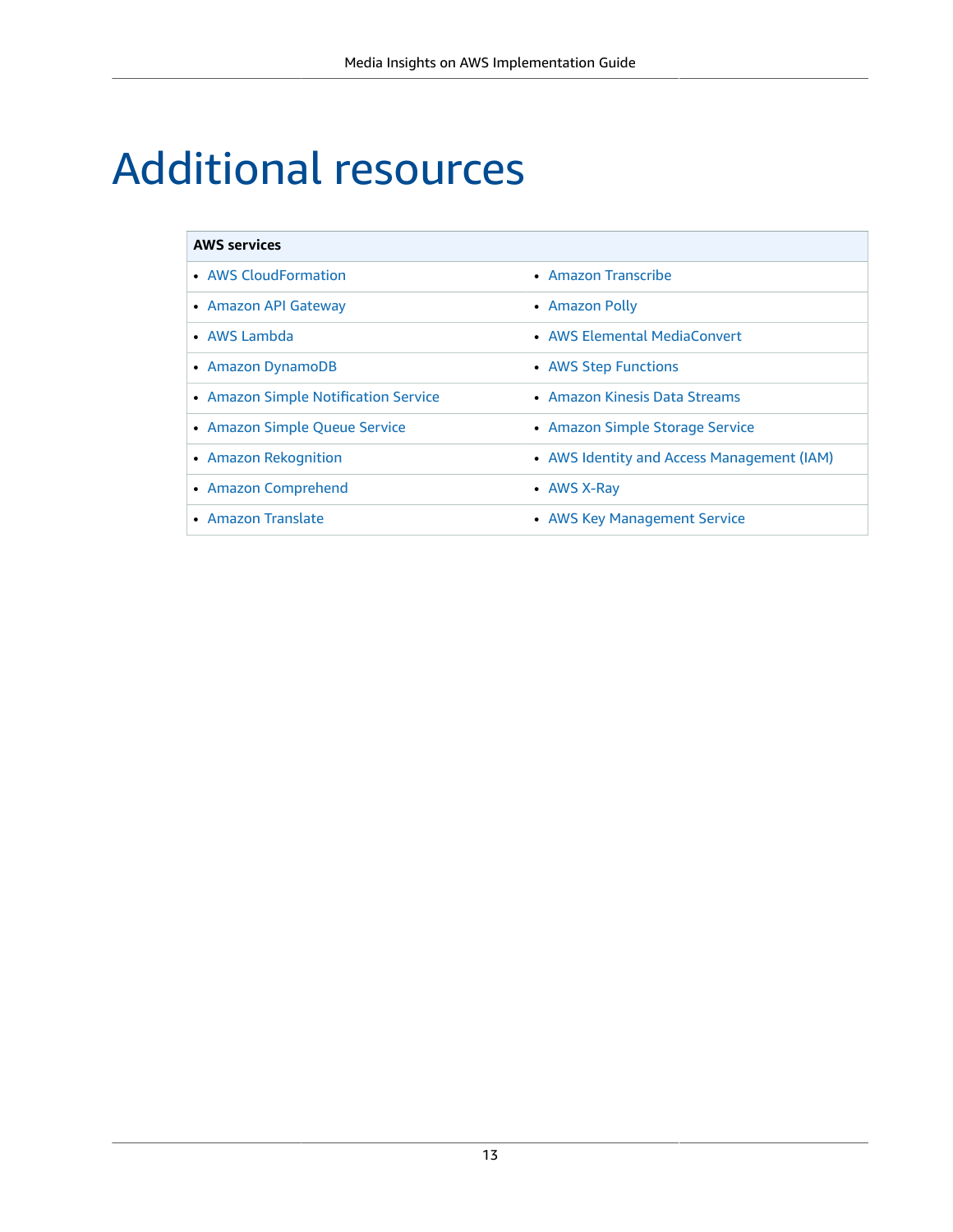# <span id="page-15-0"></span>Additional resources

| <b>AWS services</b>                  |                                            |  |
|--------------------------------------|--------------------------------------------|--|
| • AWS CloudFormation                 | $\bullet$ Amazon Transcribe                |  |
| • Amazon API Gateway                 | • Amazon Polly                             |  |
| • AWS Lambda                         | • AWS Flemental MediaConvert               |  |
| • Amazon DynamoDB                    | • AWS Step Functions                       |  |
| • Amazon Simple Notification Service | • Amazon Kinesis Data Streams              |  |
| • Amazon Simple Queue Service        | • Amazon Simple Storage Service            |  |
| • Amazon Rekognition                 | • AWS Identity and Access Management (IAM) |  |
| • Amazon Comprehend                  | • AWS X-Ray                                |  |
| $\bullet$ Amazon Translate           | • AWS Key Management Service               |  |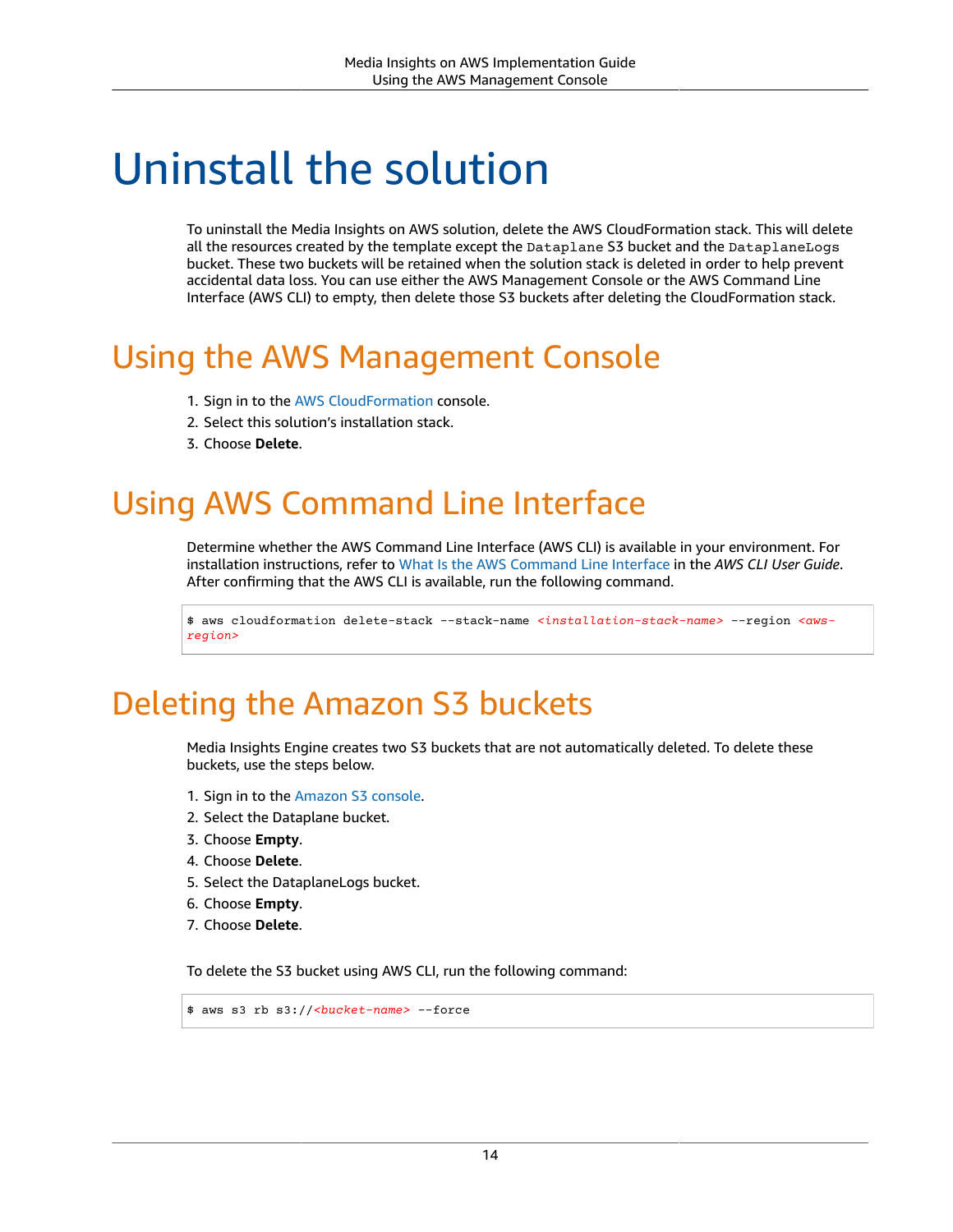## <span id="page-16-0"></span>Uninstall the solution

To uninstall the Media Insights on AWS solution, delete the AWS CloudFormation stack. This will delete all the resources created by the template except the Dataplane S3 bucket and the DataplaneLogs bucket. These two buckets will be retained when the solution stack is deleted in order to help prevent accidental data loss. You can use either the AWS Management Console or the AWS Command Line Interface (AWS CLI) to empty, then delete those S3 buckets after deleting the CloudFormation stack.

## <span id="page-16-1"></span>Using the AWS Management Console

- 1. Sign in to the AWS [CloudFormation](https://console.aws.amazon.com/cloudformation/) console.
- 2. Select this solution's installation stack.
- 3. Choose **Delete**.

### <span id="page-16-2"></span>Using AWS Command Line Interface

Determine whether the AWS Command Line Interface (AWS CLI) is available in your environment. For installation instructions, refer to What Is the AWS [Command](https://docs.aws.amazon.com/cli/latest/userguide/cli-chap-welcome.html) Line Interface in the *AWS CLI User Guide*. After confirming that the AWS CLI is available, run the following command.

```
$ aws cloudformation delete-stack --stack-name <installation-stack-name> --region <aws-
region>
```
### <span id="page-16-3"></span>Deleting the Amazon S3 buckets

Media Insights Engine creates two S3 buckets that are not automatically deleted. To delete these buckets, use the steps below.

- 1. Sign in to the [Amazon](https://console.aws.amazon.com/s3/) S3 console.
- 2. Select the Dataplane bucket.
- 3. Choose **Empty**.
- 4. Choose **Delete**.
- 5. Select the DataplaneLogs bucket.
- 6. Choose **Empty**.
- 7. Choose **Delete**.

To delete the S3 bucket using AWS CLI, run the following command:

\$ aws s3 rb s3://*<bucket-name>* --force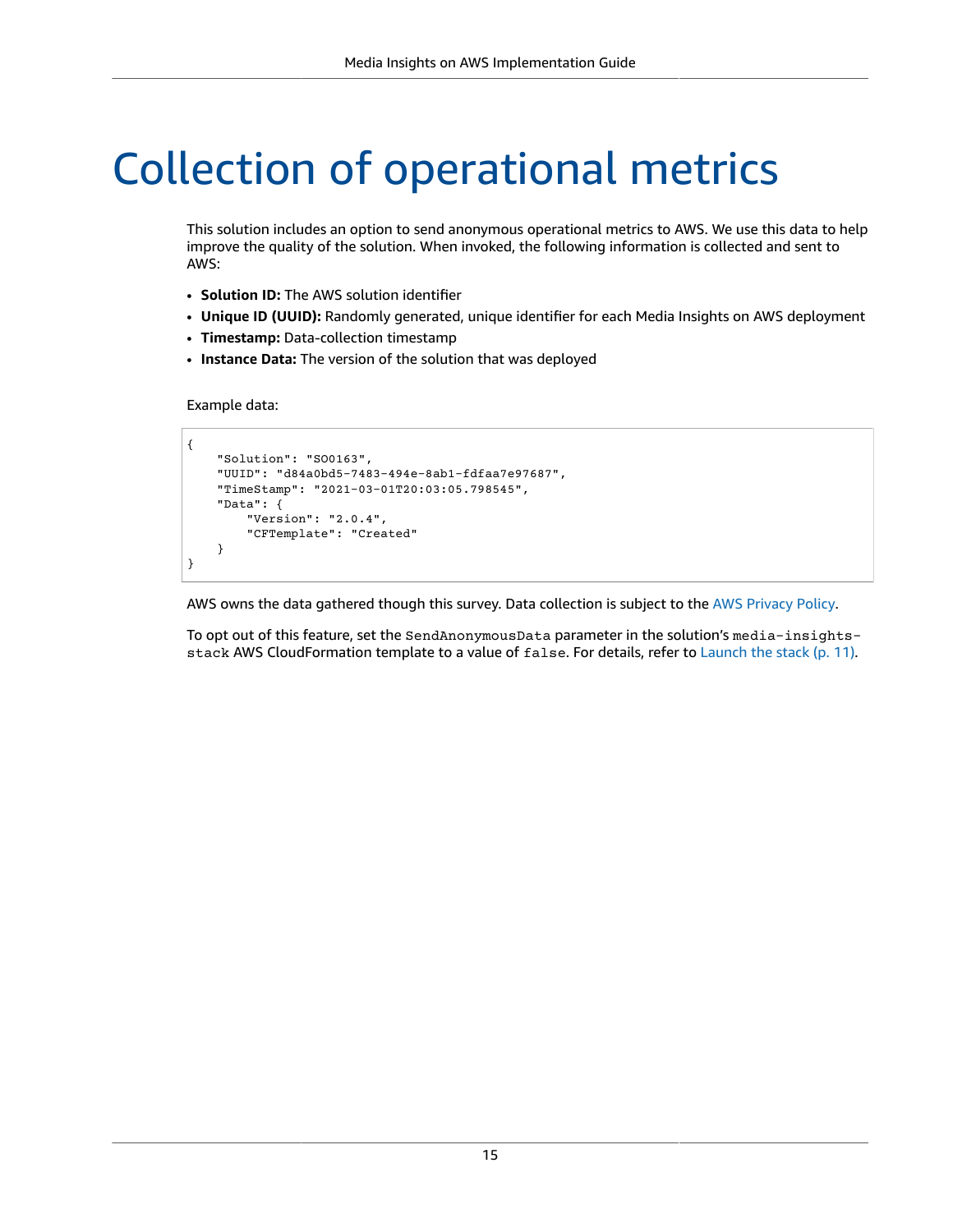## <span id="page-17-0"></span>Collection of operational metrics

This solution includes an option to send anonymous operational metrics to AWS. We use this data to help improve the quality of the solution. When invoked, the following information is collected and sent to AWS:

- **Solution ID:** The AWS solution identifier
- **Unique ID (UUID):** Randomly generated, unique identifier for each Media Insights on AWS deployment
- **Timestamp:** Data-collection timestamp
- **Instance Data:** The version of the solution that was deployed

Example data:

```
{
     "Solution": "SO0163",
     "UUID": "d84a0bd5-7483-494e-8ab1-fdfaa7e97687",
     "TimeStamp": "2021-03-01T20:03:05.798545",
     "Data": {
         "Version": "2.0.4",
         "CFTemplate": "Created"
     }
}
```
AWS owns the data gathered though this survey. Data collection is subject to the AWS [Privacy](http://aws.amazon.com/privacy/) Policy.

To opt out of this feature, set the SendAnonymousData parameter in the solution's media-insightsstack AWS CloudFormation template to a value of false. For details, refer to [Launch the stack \(p. 11\)](#page-13-1).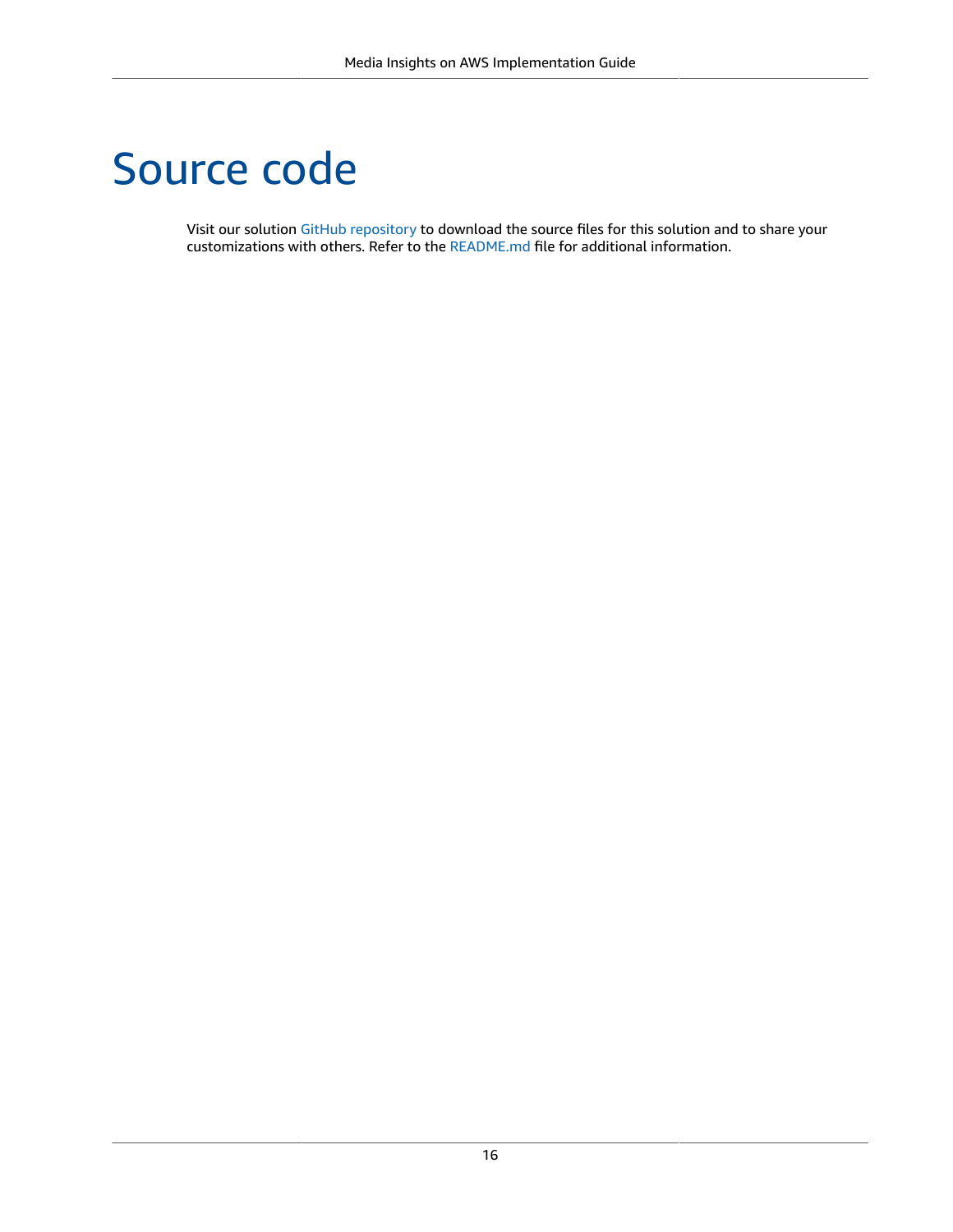## <span id="page-18-0"></span>Source code

Visit our solution GitHub [repository](https://github.com/aws-solutions/media-insights-on-aws/) to download the source files for this solution and to share your customizations with others. Refer to the [README.md](https://github.com/aws-solutions/media-insights-on-aws/blob/development/README.md) file for additional information.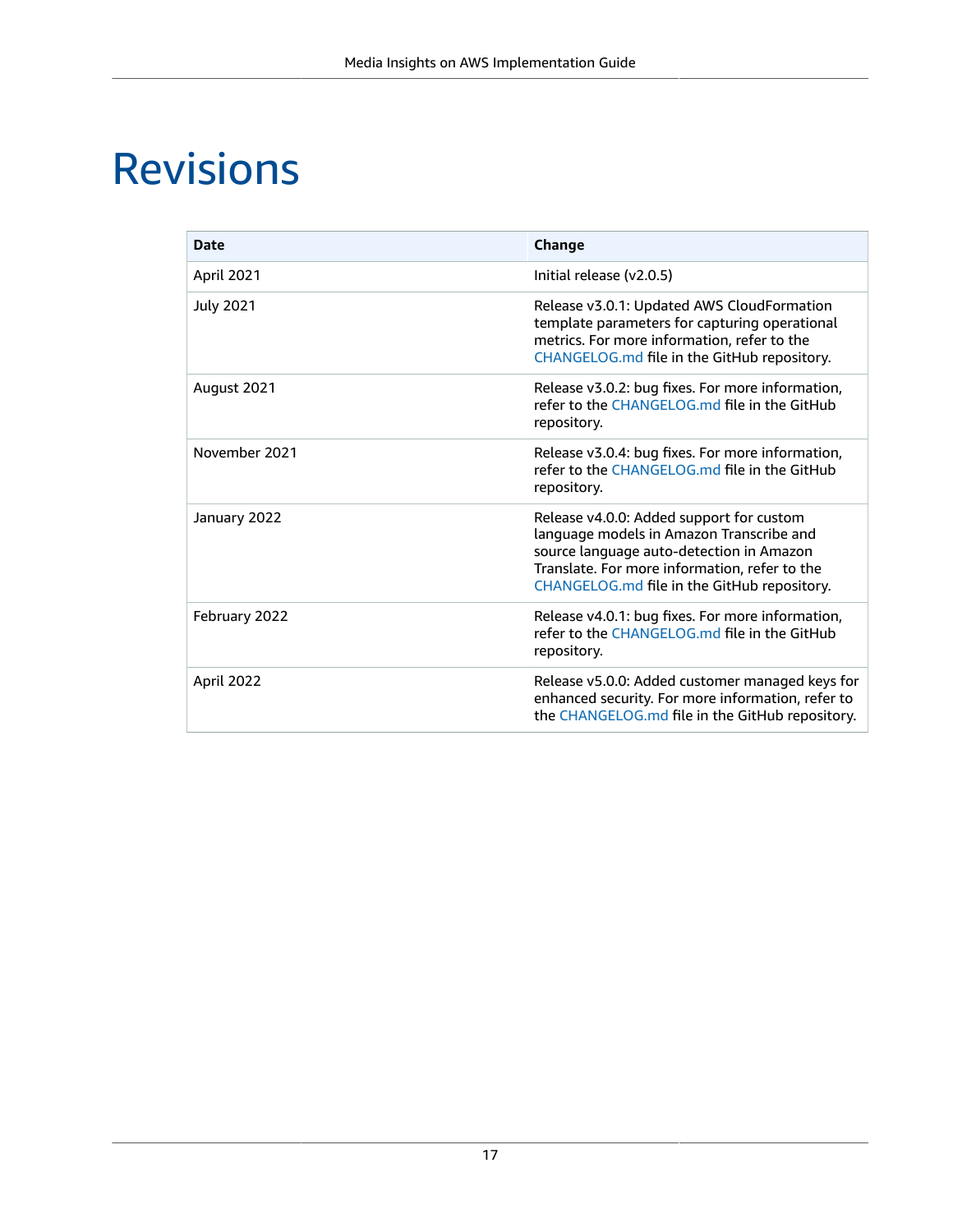# <span id="page-19-0"></span>Revisions

| <b>Date</b>       | Change                                                                                                                                                                                                                           |
|-------------------|----------------------------------------------------------------------------------------------------------------------------------------------------------------------------------------------------------------------------------|
| <b>April 2021</b> | Initial release (v2.0.5)                                                                                                                                                                                                         |
| <b>July 2021</b>  | Release v3.0.1: Updated AWS CloudFormation<br>template parameters for capturing operational<br>metrics. For more information, refer to the<br>CHANGELOG.md file in the GitHub repository.                                        |
| August 2021       | Release v3.0.2: bug fixes. For more information,<br>refer to the CHANGELOG md file in the GitHub<br>repository.                                                                                                                  |
| November 2021     | Release v3.0.4: bug fixes. For more information,<br>refer to the CHANGELOG.md file in the GitHub<br>repository.                                                                                                                  |
| January 2022      | Release v4.0.0: Added support for custom<br>language models in Amazon Transcribe and<br>source language auto-detection in Amazon<br>Translate. For more information, refer to the<br>CHANGELOG.md file in the GitHub repository. |
| February 2022     | Release v4.0.1: bug fixes. For more information,<br>refer to the CHANGELOG md file in the GitHub<br>repository.                                                                                                                  |
| April 2022        | Release v5.0.0: Added customer managed keys for<br>enhanced security. For more information, refer to<br>the CHANGELOG.md file in the GitHub repository.                                                                          |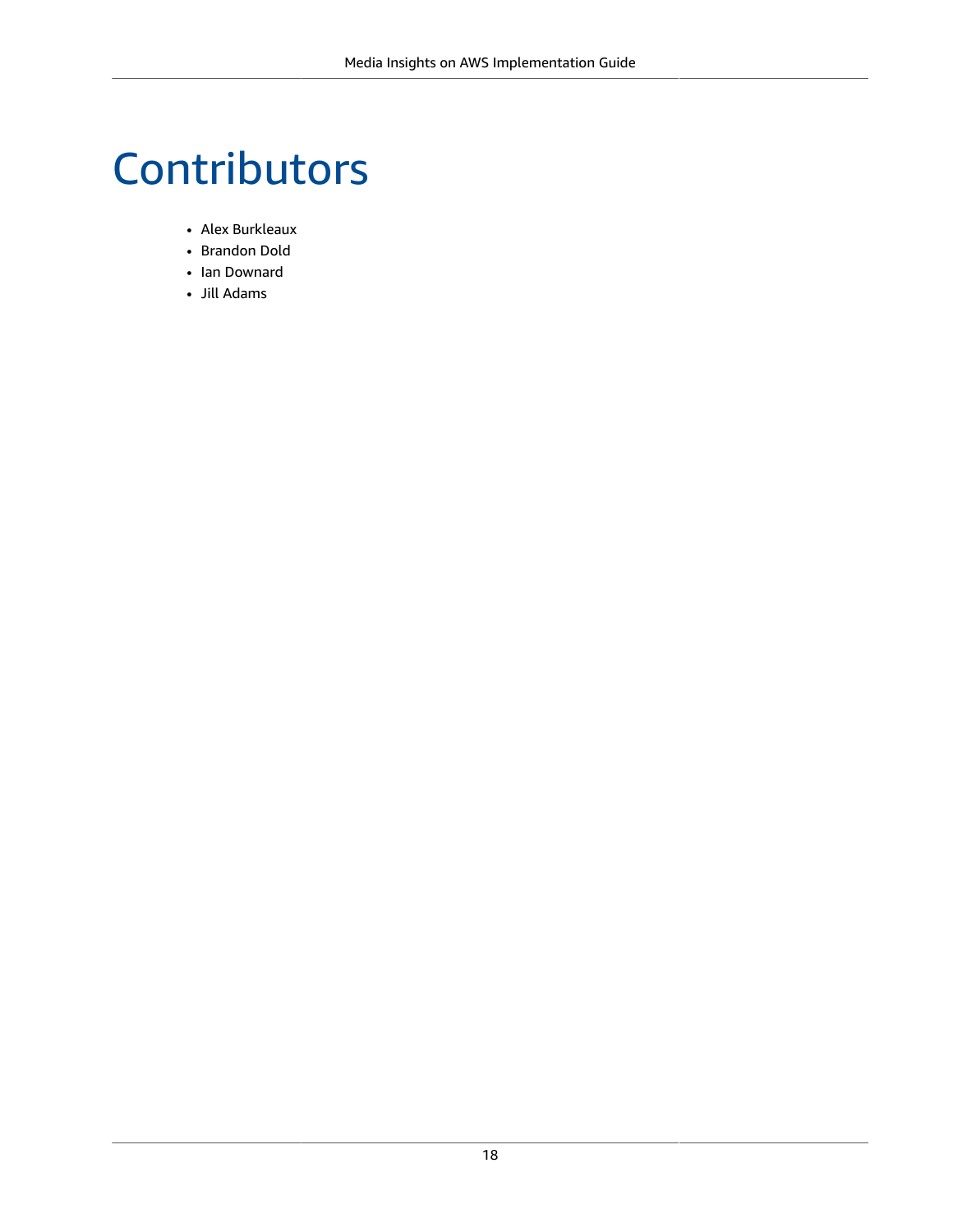# <span id="page-20-0"></span>**Contributors**

- Alex Burkleaux
- Brandon Dold
- Ian Downard
- Jill Adams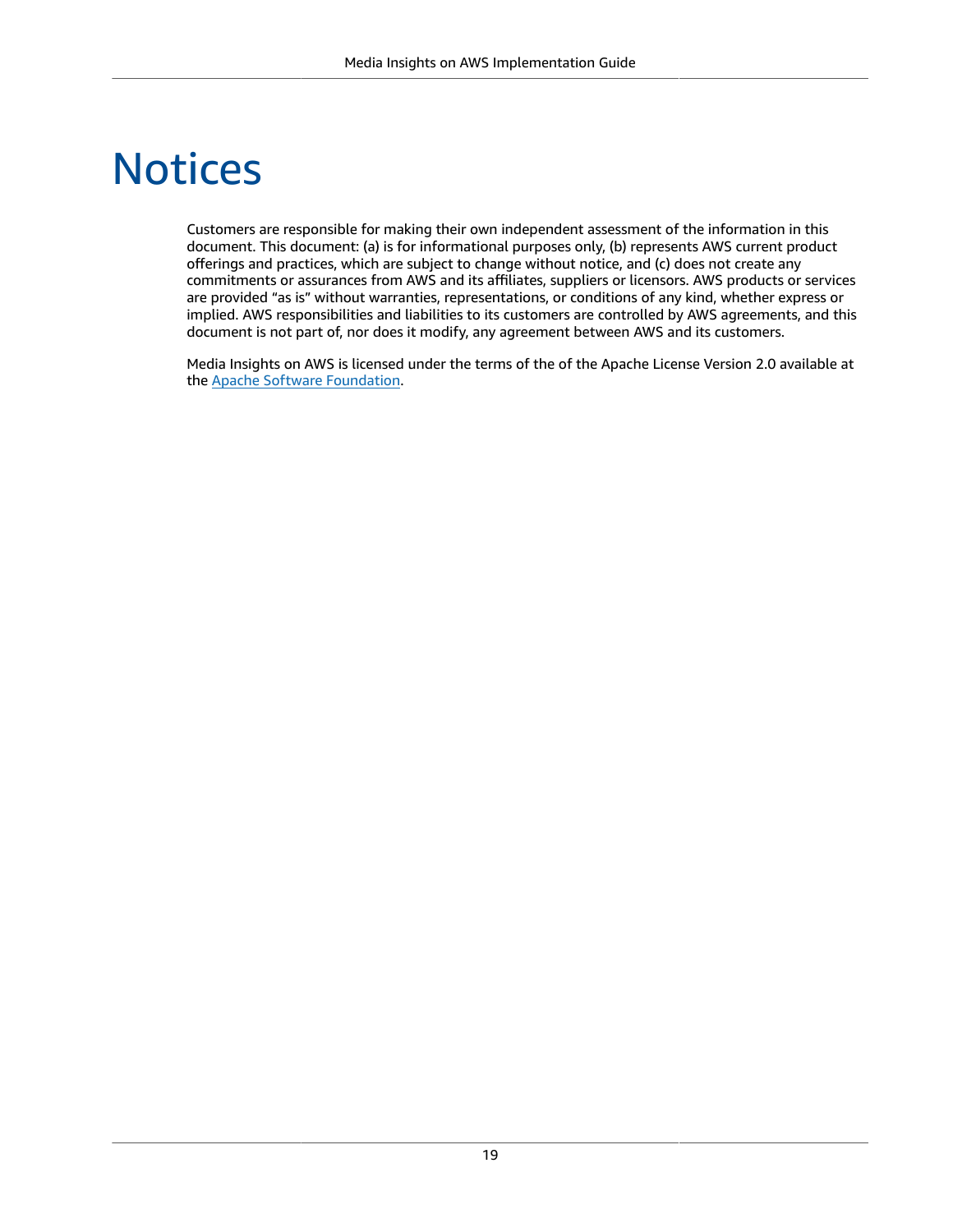## <span id="page-21-0"></span>**Notices**

Customers are responsible for making their own independent assessment of the information in this document. This document: (a) is for informational purposes only, (b) represents AWS current product offerings and practices, which are subject to change without notice, and (c) does not create any commitments or assurances from AWS and its affiliates, suppliers or licensors. AWS products or services are provided "as is" without warranties, representations, or conditions of any kind, whether express or implied. AWS responsibilities and liabilities to its customers are controlled by AWS agreements, and this document is not part of, nor does it modify, any agreement between AWS and its customers.

Media Insights on AWS is licensed under the terms of the of the Apache License Version 2.0 available at the Apache Software [Foundation](https://www.apache.org/licenses/LICENSE-2.0).